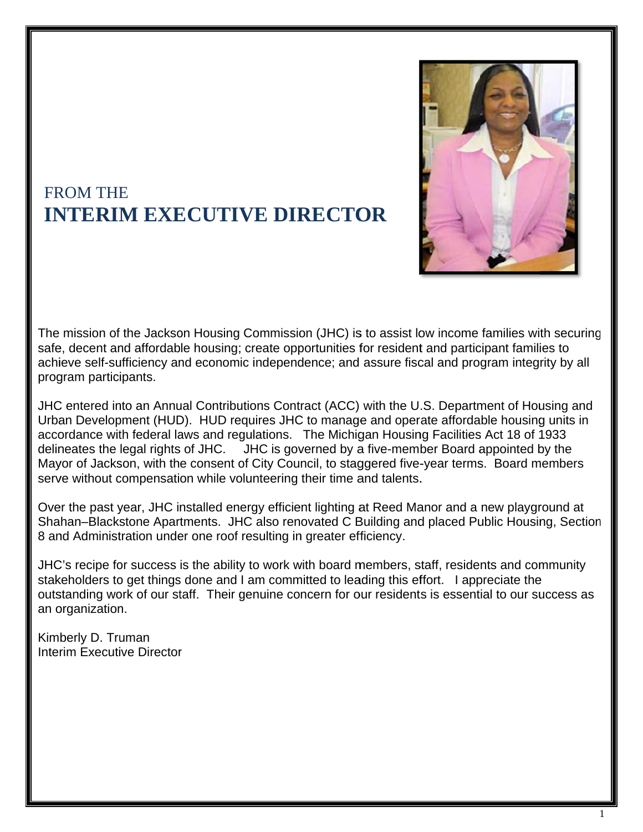

## **FROM THE INTERIM EXECUTIVE DIRECTOR**

The mission of the Jackson Housing Commission (JHC) is to assist low income families with securing safe, decent and affordable housing; create opportunities for resident and participant families to achieve self-sufficiency and economic independence; and assure fiscal and program integrity by all program participants.

JHC entered into an Annual Contributions Contract (ACC) with the U.S. Department of Housing and Urban Development (HUD). HUD requires JHC to manage and operate affordable housing units in accordance with federal laws and regulations. The Michigan Housing Facilities Act 18 of 1933 delineates the legal rights of JHC. JHC is governed by a five-member Board appointed by the Mayor of Jackson, with the consent of City Council, to staggered five-year terms. Board members serve without compensation while volunteering their time and talents.

Over the past year, JHC installed energy efficient lighting at Reed Manor and a new playground at Shahan-Blackstone Apartments. JHC also renovated C Building and placed Public Housing, Section 8 and Administration under one roof resulting in greater efficiency.

JHC's recipe for success is the ability to work with board members, staff, residents and community stakeholders to get things done and I am committed to leading this effort. I appreciate the outstanding work of our staff. Their genuine concern for our residents is essential to our success as an organization.

Kimberly D. Truman Interim Executive Director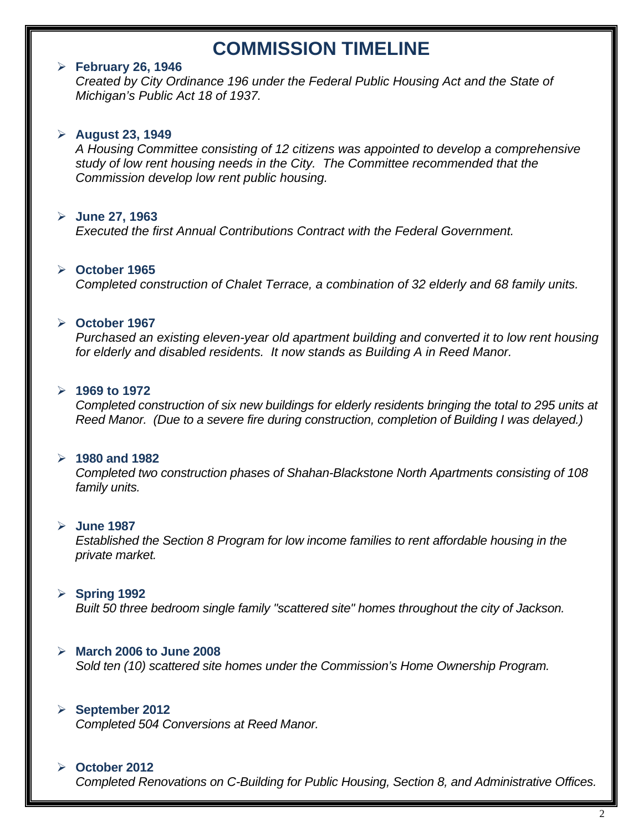## **COMMISSION TIMELINE**

#### **February 26, 1946**

*Created by City Ordinance 196 under the Federal Public Housing Act and the State of Michigan's Public Act 18 of 1937.* 

#### **August 23, 1949**

*A Housing Committee consisting of 12 citizens was appointed to develop a comprehensive study of low rent housing needs in the City. The Committee recommended that the Commission develop low rent public housing.* 

#### **June 27, 1963**

*Executed the first Annual Contributions Contract with the Federal Government.* 

#### **October 1965**

*Completed construction of Chalet Terrace, a combination of 32 elderly and 68 family units.* 

#### **October 1967**

*Purchased an existing eleven-year old apartment building and converted it to low rent housing for elderly and disabled residents. It now stands as Building A in Reed Manor.* 

#### **1969 to 1972**

*Completed construction of six new buildings for elderly residents bringing the total to 295 units at Reed Manor. (Due to a severe fire during construction, completion of Building I was delayed.)* 

#### **1980 and 1982**

*Completed two construction phases of Shahan-Blackstone North Apartments consisting of 108 family units.* 

#### **June 1987**

*Established the Section 8 Program for low income families to rent affordable housing in the private market.* 

#### **Spring 1992**

*Built 50 three bedroom single family "scattered site" homes throughout the city of Jackson.* 

#### **March 2006 to June 2008**

*Sold ten (10) scattered site homes under the Commission's Home Ownership Program.* 

#### **September 2012**

*Completed 504 Conversions at Reed Manor.* 

#### **October 2012**

*Completed Renovations on C-Building for Public Housing, Section 8, and Administrative Offices.*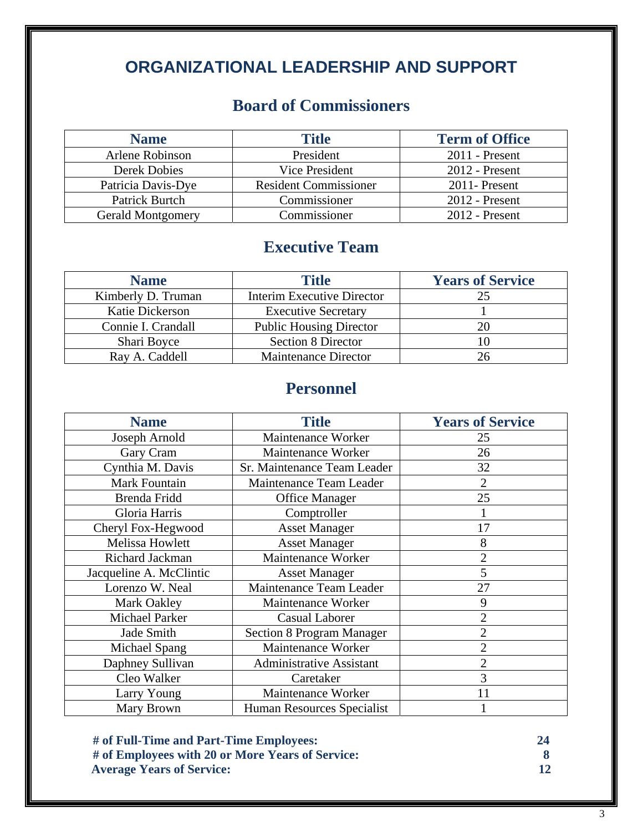# **ORGANIZATIONAL LEADERSHIP AND SUPPORT**

## **Board of Commissioners**

| <b>Name</b>              | <b>Title</b>                 | <b>Term of Office</b> |
|--------------------------|------------------------------|-----------------------|
| Arlene Robinson          | President                    | $2011$ - Present      |
| Derek Dobies             | Vice President               | $2012$ - Present      |
| Patricia Davis-Dye       | <b>Resident Commissioner</b> | $2011$ -Present       |
| Patrick Burtch           | Commissioner                 | $2012$ - Present      |
| <b>Gerald Montgomery</b> | Commissioner                 | $2012$ - Present      |

## **Executive Team**

| <b>Name</b>        | <b>Title</b>                      | <b>Years of Service</b> |
|--------------------|-----------------------------------|-------------------------|
| Kimberly D. Truman | <b>Interim Executive Director</b> | 25                      |
| Katie Dickerson    | <b>Executive Secretary</b>        |                         |
| Connie I. Crandall | <b>Public Housing Director</b>    | 20                      |
| Shari Boyce        | <b>Section 8 Director</b>         |                         |
| Ray A. Caddell     | <b>Maintenance Director</b>       | 26                      |

## **Personnel**

| <b>Name</b>             | <b>Title</b>                     | <b>Years of Service</b> |
|-------------------------|----------------------------------|-------------------------|
| Joseph Arnold           | Maintenance Worker               | 25                      |
| Gary Cram               | Maintenance Worker               | 26                      |
| Cynthia M. Davis        | Sr. Maintenance Team Leader      | 32                      |
| Mark Fountain           | Maintenance Team Leader          | $\overline{2}$          |
| Brenda Fridd            | <b>Office Manager</b>            | 25                      |
| Gloria Harris           | Comptroller                      |                         |
| Cheryl Fox-Hegwood      | <b>Asset Manager</b>             | 17                      |
| Melissa Howlett         | <b>Asset Manager</b>             | 8                       |
| Richard Jackman         | Maintenance Worker               | $\overline{2}$          |
| Jacqueline A. McClintic | <b>Asset Manager</b>             | 5                       |
| Lorenzo W. Neal         | Maintenance Team Leader          | 27                      |
| Mark Oakley             | Maintenance Worker               | 9                       |
| <b>Michael Parker</b>   | <b>Casual Laborer</b>            | $\overline{2}$          |
| Jade Smith              | <b>Section 8 Program Manager</b> | $\overline{2}$          |
| Michael Spang           | Maintenance Worker               | $\overline{2}$          |
| Daphney Sullivan        | <b>Administrative Assistant</b>  | $\overline{2}$          |
| Cleo Walker             | Caretaker                        | 3                       |
| Larry Young             | Maintenance Worker               | 11                      |
| Mary Brown              | Human Resources Specialist       |                         |

| # of Full-Time and Part-Time Employees:          | 24 |
|--------------------------------------------------|----|
| # of Employees with 20 or More Years of Service: |    |
| <b>Average Years of Service:</b>                 |    |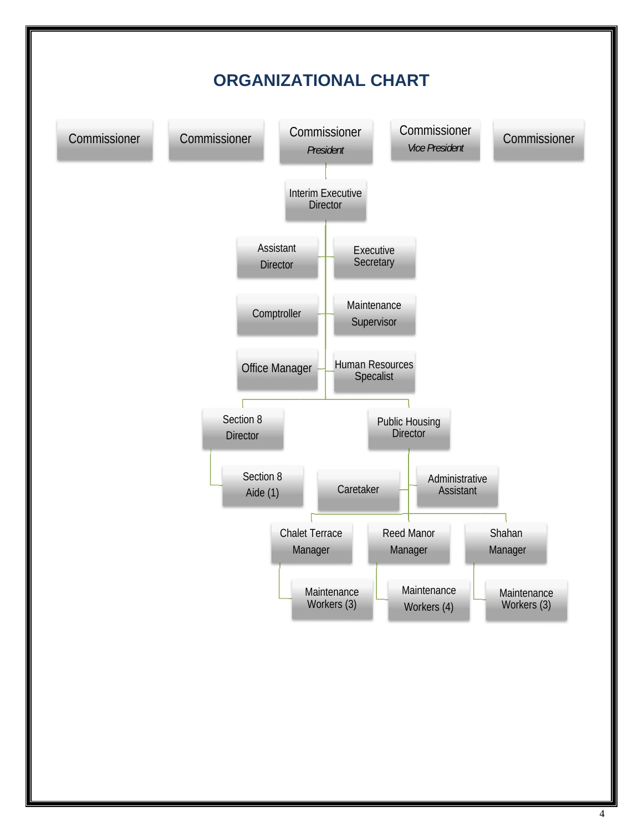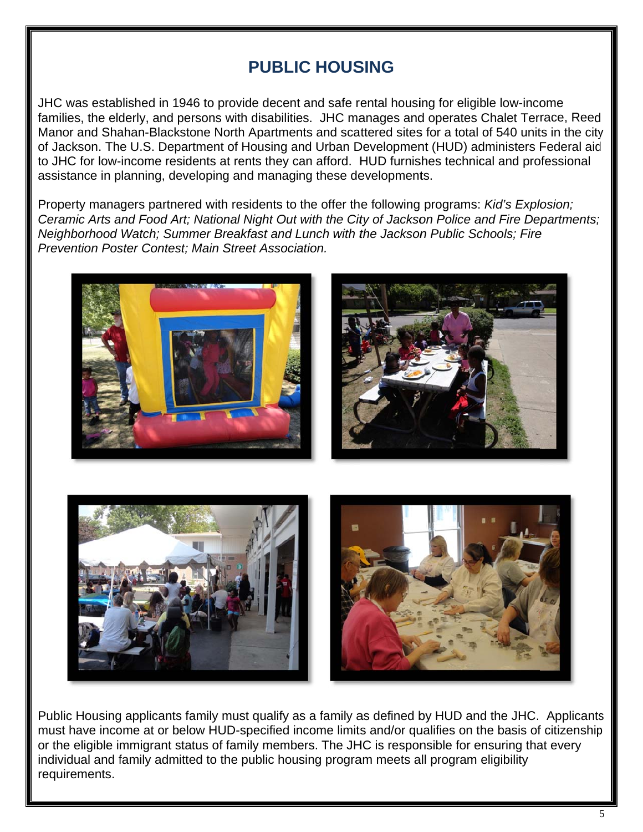## **PUBLIC HOUSING**

JHC was established in 1946 to provide decent and safe rental housing for eligible low-income families, the elderly, and persons with disabilities. JHC manages and operates Chalet Terrace, Reed Manor and Shahan-Blackstone North Apartments and scattered sites for a total of 540 units in the city of Jackson. The U.S. Department of Housing and Urban Development (HUD) administers Federal aid to JHC for low-income residents at rents they can afford. HUD furnishes technical and professional assistance in planning, developing and managing these developments.

Property managers partnered with residents to the offer the following programs: Kid's Explosion; Ceramic Arts and Food Art; National Night Out with the City of Jackson Police and Fire Departments; Neighborhood Watch; Summer Breakfast and Lunch with the Jackson Public Schools; Fire Prevention Poster Contest: Main Street Association.







Public Housing applicants family must qualify as a family as defined by HUD and the JHC. Applicants must have income at or below HUD-specified income limits and/or qualifies on the basis of citizenship or the eligible immigrant status of family members. The JHC is responsible for ensuring that every individual and family admitted to the public housing program meets all program eligibility requirements.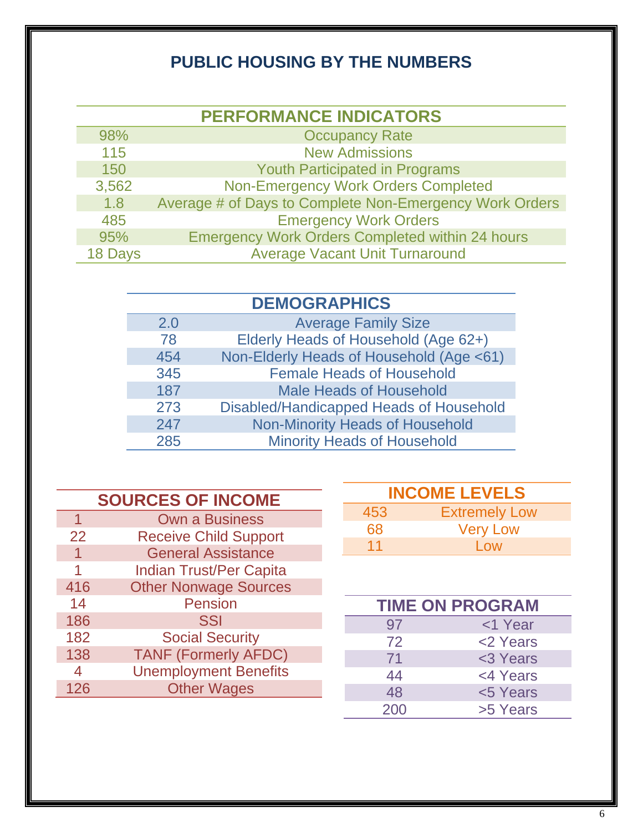# **PUBLIC HOUSING BY THE NUMBERS**

| <b>PERFORMANCE INDICATORS</b> |                                                         |  |
|-------------------------------|---------------------------------------------------------|--|
| 98%                           | <b>Occupancy Rate</b>                                   |  |
| 115                           | <b>New Admissions</b>                                   |  |
| 150                           | <b>Youth Participated in Programs</b>                   |  |
| 3,562                         | <b>Non-Emergency Work Orders Completed</b>              |  |
| 1.8                           | Average # of Days to Complete Non-Emergency Work Orders |  |
| 485                           | <b>Emergency Work Orders</b>                            |  |
| 95%                           | <b>Emergency Work Orders Completed within 24 hours</b>  |  |
| 18 Days                       | <b>Average Vacant Unit Turnaround</b>                   |  |

| 2.0 | <b>Average Family Size</b>               |
|-----|------------------------------------------|
| 78  | Elderly Heads of Household (Age 62+)     |
| 454 | Non-Elderly Heads of Household (Age <61) |
| 345 | <b>Female Heads of Household</b>         |
| 187 | <b>Male Heads of Household</b>           |
| 273 | Disabled/Handicapped Heads of Household  |
| 247 | <b>Non-Minority Heads of Household</b>   |
| 285 | <b>Minority Heads of Household</b>       |

| <b>SOURCES OF INCOME</b> |                                |  |
|--------------------------|--------------------------------|--|
| 1                        | <b>Own a Business</b>          |  |
| 22                       | <b>Receive Child Support</b>   |  |
|                          | <b>General Assistance</b>      |  |
|                          | <b>Indian Trust/Per Capita</b> |  |
| 416                      | <b>Other Nonwage Sources</b>   |  |
| 14                       | <b>Pension</b>                 |  |
| 186                      | <b>SSI</b>                     |  |
| 182                      | <b>Social Security</b>         |  |
| 138                      | <b>TANF (Formerly AFDC)</b>    |  |
| $\overline{4}$           | <b>Unemployment Benefits</b>   |  |
| 126                      | <b>Other Wages</b>             |  |

| <b>INCOME LEVELS</b> |                      |  |
|----------------------|----------------------|--|
| 453                  | <b>Extremely Low</b> |  |
| 68                   | <b>Very Low</b>      |  |
| 11                   | Low                  |  |

| <b>TIME ON PROGRAM</b> |          |  |
|------------------------|----------|--|
| 97                     | <1 Year  |  |
| 72                     | <2 Years |  |
| 71                     | <3 Years |  |
| 44                     | <4 Years |  |
| 48                     | <5 Years |  |
| 200                    | >5 Years |  |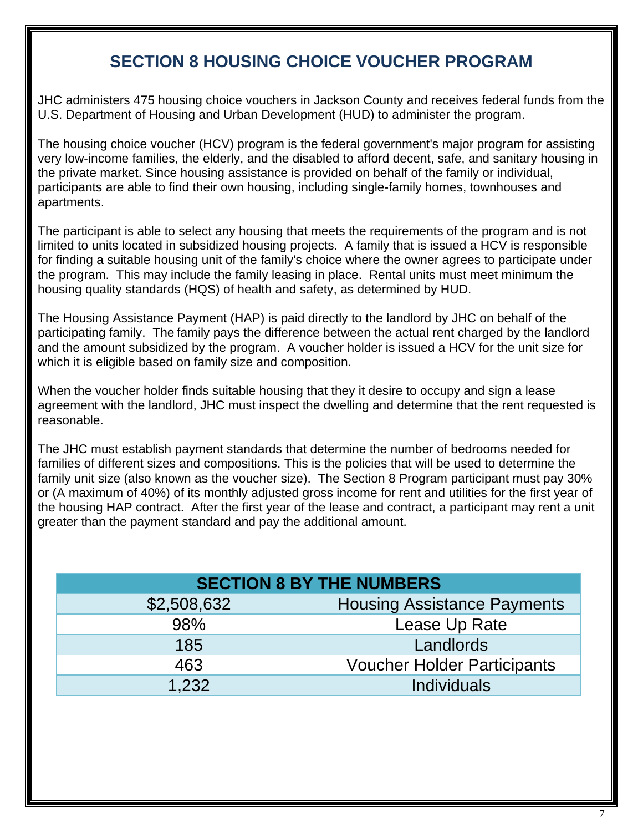## **SECTION 8 HOUSING CHOICE VOUCHER PROGRAM**

JHC administers 475 housing choice vouchers in Jackson County and receives federal funds from the U.S. Department of Housing and Urban Development (HUD) to administer the program.

The housing choice voucher (HCV) program is the federal government's major program for assisting very low-income families, the elderly, and the disabled to afford decent, safe, and sanitary housing in the private market. Since housing assistance is provided on behalf of the family or individual, participants are able to find their own housing, including single-family homes, townhouses and apartments.

The participant is able to select any housing that meets the requirements of the program and is not limited to units located in subsidized housing projects. A family that is issued a HCV is responsible for finding a suitable housing unit of the family's choice where the owner agrees to participate under the program. This may include the family leasing in place. Rental units must meet minimum the housing quality standards (HQS) of health and safety, as determined by HUD.

The Housing Assistance Payment (HAP) is paid directly to the landlord by JHC on behalf of the participating family. The family pays the difference between the actual rent charged by the landlord and the amount subsidized by the program. A voucher holder is issued a HCV for the unit size for which it is eligible based on family size and composition.

When the voucher holder finds suitable housing that they it desire to occupy and sign a lease agreement with the landlord, JHC must inspect the dwelling and determine that the rent requested is reasonable.

The JHC must establish payment standards that determine the number of bedrooms needed for families of different sizes and compositions. This is the policies that will be used to determine the family unit size (also known as the voucher size). The Section 8 Program participant must pay 30% or (A maximum of 40%) of its monthly adjusted gross income for rent and utilities for the first year of the housing HAP contract. After the first year of the lease and contract, a participant may rent a unit greater than the payment standard and pay the additional amount.

| <b>SECTION 8 BY THE NUMBERS</b> |                                    |  |
|---------------------------------|------------------------------------|--|
| \$2,508,632                     | <b>Housing Assistance Payments</b> |  |
| 98%                             | Lease Up Rate                      |  |
| 185                             | Landlords                          |  |
| 463                             | <b>Voucher Holder Participants</b> |  |
| 1.232                           | <b>Individuals</b>                 |  |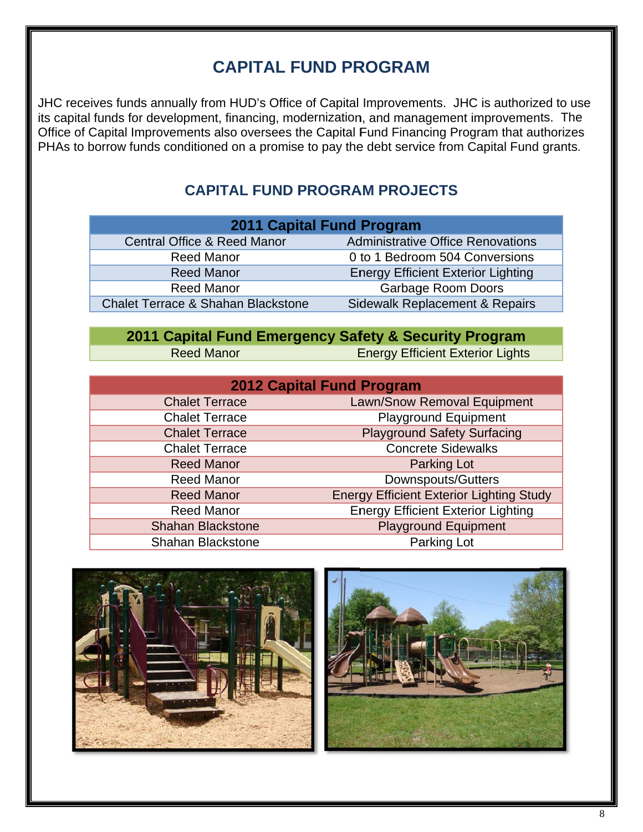## **CAPITAL FUND PROGRAM**

JHC receives funds annually from HUD's Office of Capital Improvements. JHC is authorized to use its capital funds for development, financing, modernization, and management improvements. The Office of Capital Improvements also oversees the Capital Fund Financing Program that authorizes PHAs to borrow funds conditioned on a promise to pay the debt service from Capital Fund grants.

### **CAPITAL FUND PROGRAM PROJECTS**

| <b>2011 Capital Fund Program</b>                                           |  |  |
|----------------------------------------------------------------------------|--|--|
|                                                                            |  |  |
|                                                                            |  |  |
|                                                                            |  |  |
|                                                                            |  |  |
|                                                                            |  |  |
| <b>Administrative Office Renovations</b><br>Sidewalk Replacement & Repairs |  |  |

# 2011 Capital Fund Emergency Safety & Security Program

| Reed Manor |
|------------|
|------------|

**Energy Efficient Exterior Lights** 

| <b>2012 Capital Fund Program</b> |                                                 |  |  |
|----------------------------------|-------------------------------------------------|--|--|
| <b>Chalet Terrace</b>            | Lawn/Snow Removal Equipment                     |  |  |
| <b>Chalet Terrace</b>            | <b>Playground Equipment</b>                     |  |  |
| <b>Chalet Terrace</b>            | <b>Playground Safety Surfacing</b>              |  |  |
| <b>Chalet Terrace</b>            | <b>Concrete Sidewalks</b>                       |  |  |
| <b>Reed Manor</b>                | <b>Parking Lot</b>                              |  |  |
| <b>Reed Manor</b>                | <b>Downspouts/Gutters</b>                       |  |  |
| <b>Reed Manor</b>                | <b>Energy Efficient Exterior Lighting Study</b> |  |  |
| <b>Reed Manor</b>                | <b>Energy Efficient Exterior Lighting</b>       |  |  |
| <b>Shahan Blackstone</b>         | <b>Playground Equipment</b>                     |  |  |
| <b>Shahan Blackstone</b>         | Parking Lot                                     |  |  |

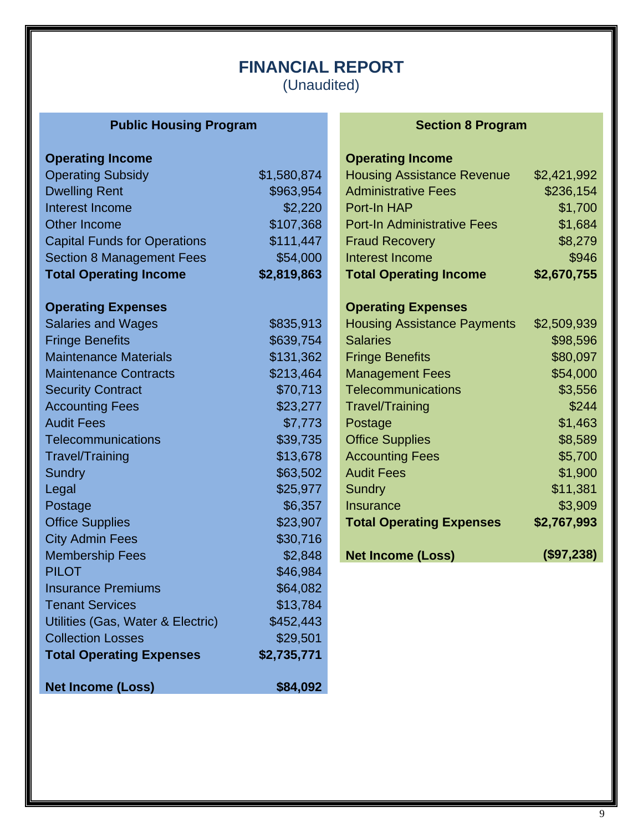## **FINANCIAL REPORT**  (Unaudited)

## **Public Housing Program 1999 Constraining Program 1999 Section 8 Program**

| <b>Operating Income</b>             |             | <b>Operating Income</b>            |             |
|-------------------------------------|-------------|------------------------------------|-------------|
| <b>Operating Subsidy</b>            | \$1,580,874 | <b>Housing Assistance Revenue</b>  | \$2,421,992 |
| <b>Dwelling Rent</b>                | \$963,954   | <b>Administrative Fees</b>         | \$236,154   |
| Interest Income                     | \$2,220     | Port-In HAP                        | \$1,700     |
| <b>Other Income</b>                 | \$107,368   | <b>Port-In Administrative Fees</b> | \$1,684     |
| <b>Capital Funds for Operations</b> | \$111,447   | <b>Fraud Recovery</b>              | \$8,279     |
| <b>Section 8 Management Fees</b>    | \$54,000    | Interest Income                    | \$946       |
| <b>Total Operating Income</b>       | \$2,819,863 | <b>Total Operating Income</b>      | \$2,670,755 |
| <b>Operating Expenses</b>           |             | <b>Operating Expenses</b>          |             |
| <b>Salaries and Wages</b>           | \$835,913   | <b>Housing Assistance Payments</b> | \$2,509,939 |
| <b>Fringe Benefits</b>              | \$639,754   | <b>Salaries</b>                    | \$98,596    |
| <b>Maintenance Materials</b>        | \$131,362   | <b>Fringe Benefits</b>             | \$80,097    |
| <b>Maintenance Contracts</b>        | \$213,464   | <b>Management Fees</b>             | \$54,000    |
| <b>Security Contract</b>            | \$70,713    | Telecommunications                 | \$3,556     |
| <b>Accounting Fees</b>              | \$23,277    | <b>Travel/Training</b>             | \$244       |
| <b>Audit Fees</b>                   | \$7,773     | Postage                            | \$1,463     |
| <b>Telecommunications</b>           | \$39,735    | <b>Office Supplies</b>             | \$8,589     |
| Travel/Training                     | \$13,678    | <b>Accounting Fees</b>             | \$5,700     |
| Sundry                              | \$63,502    | <b>Audit Fees</b>                  | \$1,900     |
| Legal                               | \$25,977    | Sundry                             | \$11,381    |
| Postage                             | \$6,357     | <b>Insurance</b>                   | \$3,909     |
| <b>Office Supplies</b>              | \$23,907    | <b>Total Operating Expenses</b>    | \$2,767,993 |
| <b>City Admin Fees</b>              | \$30,716    |                                    |             |
| <b>Membership Fees</b>              | \$2,848     | <b>Net Income (Loss)</b>           | (\$97,238)  |
| <b>PILOT</b>                        | \$46,984    |                                    |             |
| <b>Insurance Premiums</b>           | \$64,082    |                                    |             |
| <b>Tenant Services</b>              | \$13,784    |                                    |             |
| Utilities (Gas, Water & Electric)   | \$452,443   |                                    |             |
| <b>Collection Losses</b>            | \$29,501    |                                    |             |
| <b>Total Operating Expenses</b>     | \$2,735,771 |                                    |             |
| <b>Net Income (Loss)</b>            | \$84,092    |                                    |             |

## **Operating Income**

| <b>Operating Expenses</b>          |             |  |  |  |
|------------------------------------|-------------|--|--|--|
| <b>Total Operating Income</b>      | \$2,670,755 |  |  |  |
| Interest Income                    | \$946       |  |  |  |
| <b>Fraud Recovery</b>              | \$8,279     |  |  |  |
| <b>Port-In Administrative Fees</b> | \$1,684     |  |  |  |
| Port-In HAP                        | \$1,700     |  |  |  |
| <b>Administrative Fees</b>         | \$236,154   |  |  |  |
| <b>Housing Assistance Revenue</b>  | \$2,421,992 |  |  |  |

| <b>Housing Assistance Payments</b> | \$2,509,939   |
|------------------------------------|---------------|
| <b>Salaries</b>                    | \$98,596      |
| <b>Fringe Benefits</b>             | \$80,097      |
| <b>Management Fees</b>             | \$54,000      |
| Telecommunications                 | \$3,556       |
| <b>Travel/Training</b>             | \$244         |
| Postage                            | \$1,463       |
| <b>Office Supplies</b>             | \$8,589       |
| <b>Accounting Fees</b>             | \$5,700       |
| <b>Audit Fees</b>                  | \$1,900       |
| Sundry                             | \$11,381      |
| Insurance                          | \$3,909       |
| <b>Total Operating Expenses</b>    | \$2,767,993   |
| <b>Net Income (Loss)</b>           | $($ \$97,238) |